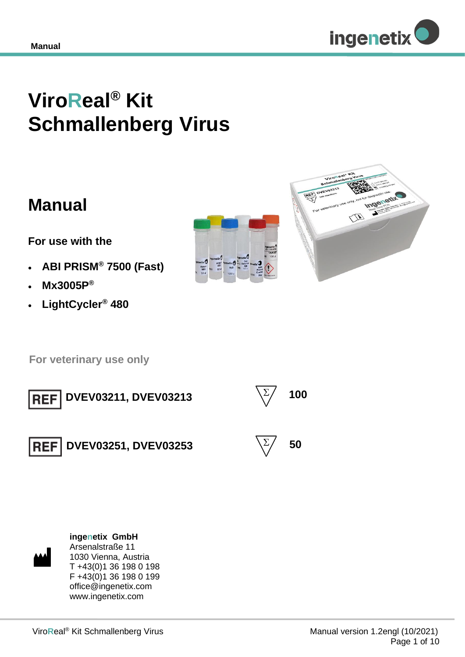

# **ViroReal® Kit Schmallenberg Virus**

## **Manual**

**For use with the** 

- **ABI PRISM® 7500 (Fast)**
- **Mx3005P®**
- **LightCycler® 480**





 **For veterinary use only**



**DVEV03211, DVEV03213**  $\qquad \qquad \qquad \qquad$  100





**DVEV03251, DVEV03253**  $\qquad \qquad \qquad \qquad$  50





**ingenetix GmbH** Arsenalstraße 11 1030 Vienna, Austria T +43(0)1 36 198 0 198 F +43(0)1 36 198 0 199 office@ingenetix.com www.ingenetix.com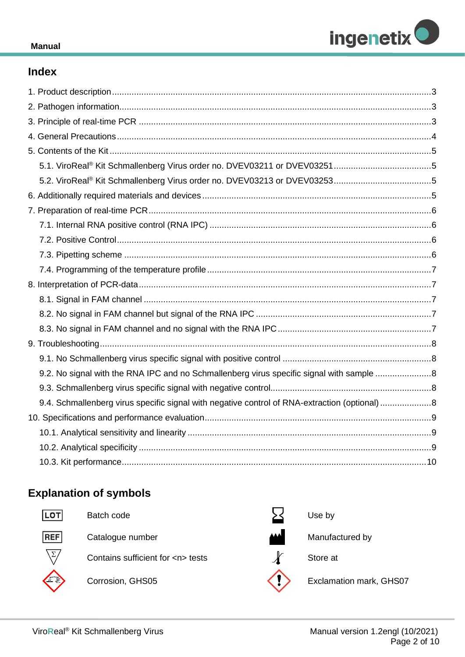

#### **Manual**

## **Index**

| 9.2. No signal with the RNA IPC and no Schmallenberg virus specific signal with sample 8      |  |
|-----------------------------------------------------------------------------------------------|--|
|                                                                                               |  |
| 9.4. Schmallenberg virus specific signal with negative control of RNA-extraction (optional) 8 |  |
|                                                                                               |  |
|                                                                                               |  |
|                                                                                               |  |
|                                                                                               |  |

## **Explanation of symbols**



Batch code

Catalogue number Manufactured by

Contains sufficient for <n> tests





Use by

Store at



Corrosion, GHS05 **Exclamation mark, GHS07**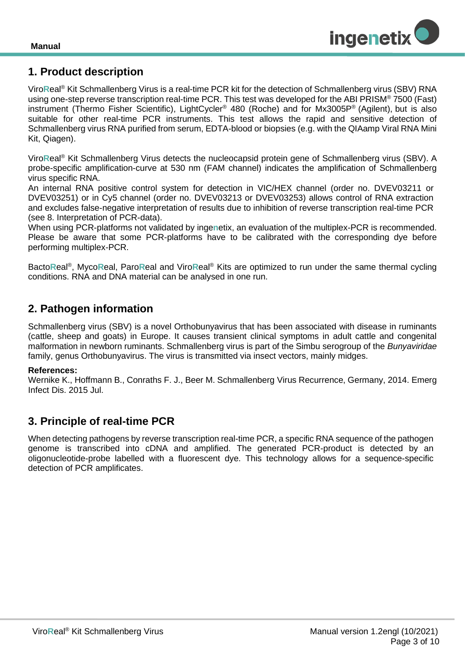

## <span id="page-2-0"></span>**1. Product description**

Viro**R**eal® Kit Schmallenberg Virus is a real-time PCR kit for the detection of Schmallenberg virus (SBV) RNA using one-step reverse transcription real-time PCR. This test was developed for the ABI PRISM<sup>®</sup> 7500 (Fast) instrument (Thermo Fisher Scientific), LightCycler® 480 (Roche) and for Mx3005P® (Agilent), but is also suitable for other real-time PCR instruments. This test allows the rapid and sensitive detection of Schmallenberg virus RNA purified from serum, EDTA-blood or biopsies (e.g. with the QIAamp Viral RNA Mini Kit, Qiagen).

Viro**R**eal® Kit Schmallenberg Virus detects the nucleocapsid protein gene of Schmallenberg virus (SBV). A probe-specific amplification-curve at 530 nm (FAM channel) indicates the amplification of Schmallenberg virus specific RNA.

An internal RNA positive control system for detection in VIC/HEX channel (order no. DVEV03211 or DVEV03251) or in Cy5 channel (order no. DVEV03213 or DVEV03253) allows control of RNA extraction and excludes false-negative interpretation of results due to inhibition of reverse transcription real-time PCR (see 8. Interpretation of PCR-data).

When using PCR-platforms not validated by inge**n**etix, an evaluation of the multiplex-PCR is recommended. Please be aware that some PCR-platforms have to be calibrated with the corresponding dye before performing multiplex-PCR.

Bacto**R**eal® , Myco**R**eal, Paro**R**eal and Viro**R**eal® Kits are optimized to run under the same thermal cycling conditions. RNA and DNA material can be analysed in one run.

## <span id="page-2-1"></span>**2. Pathogen information**

Schmallenberg virus (SBV) is a novel Orthobunyavirus that has been associated with disease in ruminants (cattle, sheep and goats) in Europe. It causes transient clinical symptoms in adult cattle and congenital malformation in newborn ruminants. Schmallenberg virus is part of the Simbu serogroup of the *Bunyaviridae*  family, genus Orthobunyavirus. The virus is transmitted via insect vectors, mainly midges.

#### **References:**

Wernike K., Hoffmann B., Conraths F. J., Beer M. Schmallenberg Virus Recurrence, Germany, 2014. Emerg Infect Dis. 2015 Jul.

## <span id="page-2-2"></span>**3. Principle of real-time PCR**

When detecting pathogens by reverse transcription real-time PCR, a specific RNA sequence of the pathogen genome is transcribed into cDNA and amplified. The generated PCR-product is detected by an oligonucleotide-probe labelled with a fluorescent dye. This technology allows for a sequence-specific detection of PCR amplificates.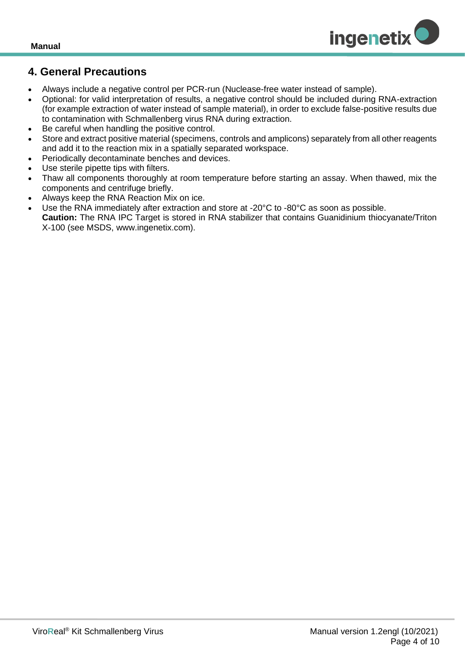

## <span id="page-3-0"></span>**4. General Precautions**

- Always include a negative control per PCR-run (Nuclease-free water instead of sample).
- Optional: for valid interpretation of results, a negative control should be included during RNA-extraction (for example extraction of water instead of sample material), in order to exclude false-positive results due to contamination with Schmallenberg virus RNA during extraction.
- Be careful when handling the positive control.
- Store and extract positive material (specimens, controls and amplicons) separately from all other reagents and add it to the reaction mix in a spatially separated workspace.
- Periodically decontaminate benches and devices.
- Use sterile pipette tips with filters.
- Thaw all components thoroughly at room temperature before starting an assay. When thawed, mix the components and centrifuge briefly.
- Always keep the RNA Reaction Mix on ice.
- Use the RNA immediately after extraction and store at -20°C to -80°C as soon as possible. **Caution:** The RNA IPC Target is stored in RNA stabilizer that contains Guanidinium thiocyanate/Triton

X-100 (see MSDS, www.ingenetix.com).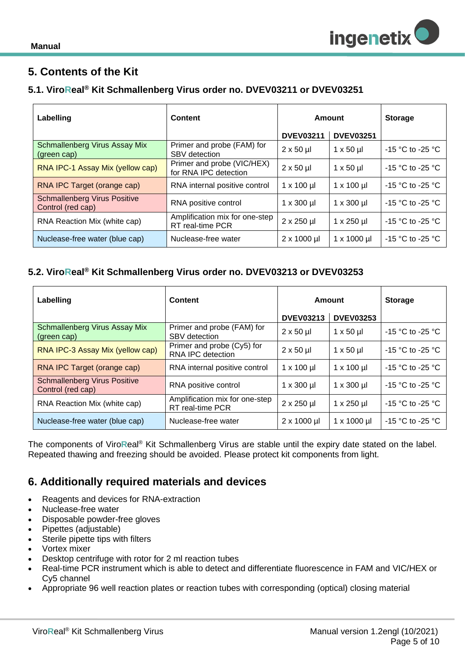

## <span id="page-4-0"></span>**5. Contents of the Kit**

#### <span id="page-4-1"></span>**5.1. ViroReal® Kit Schmallenberg Virus order no. DVEV03211 or DVEV03251**

| Labelling                                                | Content                                             | Amount             |                       | <b>Storage</b>       |
|----------------------------------------------------------|-----------------------------------------------------|--------------------|-----------------------|----------------------|
|                                                          |                                                     | <b>DVEV03211</b>   | <b>DVEV03251</b>      |                      |
| Schmallenberg Virus Assay Mix<br>(green cap)             | Primer and probe (FAM) for<br><b>SBV</b> detection  | $2 \times 50 \mu$  | $1 \times 50 \mu$     | $-15$ °C to -25 °C   |
| RNA IPC-1 Assay Mix (yellow cap)                         | Primer and probe (VIC/HEX)<br>for RNA IPC detection | $2 \times 50 \mu$  | $1 \times 50 \mu$     | $-15$ °C to -25 °C   |
| RNA IPC Target (orange cap)                              | RNA internal positive control                       | $1 \times 100 \mu$ | $1 \times 100 \mu$    | $-15$ °C to -25 °C   |
| <b>Schmallenberg Virus Positive</b><br>Control (red cap) | RNA positive control                                | $1 \times 300$ µl  | $1 \times 300$ ul     | $-15$ °C to -25 °C   |
| RNA Reaction Mix (white cap)                             | Amplification mix for one-step<br>RT real-time PCR  | $2 \times 250$ µl  | $1 \times 250$ µl     | $-15$ °C to $-25$ °C |
| Nuclease-free water (blue cap)                           | Nuclease-free water                                 | $2 \times 1000$ µl | $1 \times 1000 \,\mu$ | $-15$ °C to -25 °C   |

#### <span id="page-4-2"></span>**5.2. ViroReal® Kit Schmallenberg Virus order no. DVEV03213 or DVEV03253**

| Labelling                                                | Content                                            | Amount             |                     | <b>Storage</b>       |
|----------------------------------------------------------|----------------------------------------------------|--------------------|---------------------|----------------------|
|                                                          |                                                    | <b>DVEV03213</b>   | <b>DVEV03253</b>    |                      |
| Schmallenberg Virus Assay Mix<br>(green cap)             | Primer and probe (FAM) for<br>SBV detection        | $2 \times 50$ µ    | $1 \times 50 \mu$   | $-15$ °C to -25 °C   |
| RNA IPC-3 Assay Mix (yellow cap)                         | Primer and probe (Cy5) for<br>RNA IPC detection    | $2 \times 50 \mu$  | $1 \times 50 \mu$   | $-15$ °C to $-25$ °C |
| RNA IPC Target (orange cap)                              | RNA internal positive control                      | $1 \times 100$ µl  | $1 \times 100$ µl   | $-15$ °C to $-25$ °C |
| <b>Schmallenberg Virus Positive</b><br>Control (red cap) | RNA positive control                               | $1 \times 300$ µ   | $1 \times 300$ µl   | $-15$ °C to -25 °C   |
| RNA Reaction Mix (white cap)                             | Amplification mix for one-step<br>RT real-time PCR | $2 \times 250$ µl  | $1 \times 250$ µl   | $-15$ °C to -25 °C   |
| Nuclease-free water (blue cap)                           | Nuclease-free water                                | $2 \times 1000$ µl | $1 \times 1000 \mu$ | $-15$ °C to -25 °C   |

The components of Viro**R**eal® Kit Schmallenberg Virus are stable until the expiry date stated on the label. Repeated thawing and freezing should be avoided. Please protect kit components from light.

## <span id="page-4-3"></span>**6. Additionally required materials and devices**

- Reagents and devices for RNA-extraction
- Nuclease-free water
- Disposable powder-free gloves
- Pipettes (adjustable)
- Sterile pipette tips with filters
- Vortex mixer
- Desktop centrifuge with rotor for 2 ml reaction tubes
- Real-time PCR instrument which is able to detect and differentiate fluorescence in FAM and VIC/HEX or Cy5 channel
- Appropriate 96 well reaction plates or reaction tubes with corresponding (optical) closing material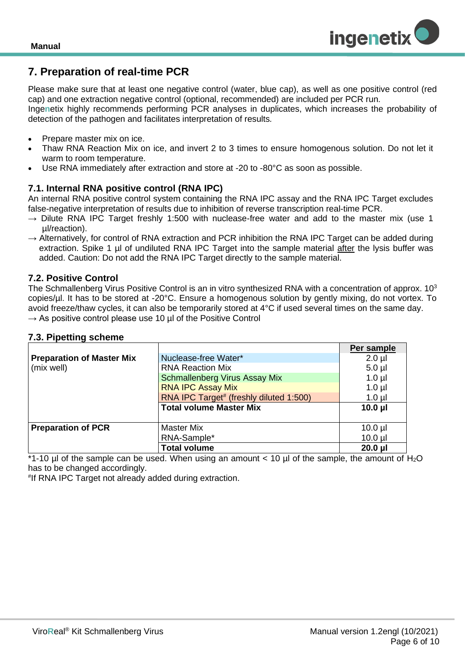## <span id="page-5-0"></span>**7. Preparation of real-time PCR**

Please make sure that at least one negative control (water, blue cap), as well as one positive control (red cap) and one extraction negative control (optional, recommended) are included per PCR run.

Inge**n**etix highly recommends performing PCR analyses in duplicates, which increases the probability of detection of the pathogen and facilitates interpretation of results*.*

- Prepare master mix on ice.
- Thaw RNA Reaction Mix on ice, and invert 2 to 3 times to ensure homogenous solution. Do not let it warm to room temperature.
- Use RNA immediately after extraction and store at -20 to -80°C as soon as possible.

#### <span id="page-5-1"></span>**7.1. Internal RNA positive control (RNA IPC)**

An internal RNA positive control system containing the RNA IPC assay and the RNA IPC Target excludes false-negative interpretation of results due to inhibition of reverse transcription real-time PCR.

- $\rightarrow$  Dilute RNA IPC Target freshly 1:500 with nuclease-free water and add to the master mix (use 1 µl/reaction).
- $\rightarrow$  Alternatively, for control of RNA extraction and PCR inhibition the RNA IPC Target can be added during extraction. Spike 1 µl of undiluted RNA IPC Target into the sample material after the lysis buffer was added. Caution: Do not add the RNA IPC Target directly to the sample material.

#### <span id="page-5-2"></span>**7.2. Positive Control**

The Schmallenberg Virus Positive Control is an in vitro synthesized RNA with a concentration of approx. 10<sup>3</sup> copies/µl. It has to be stored at -20°C. Ensure a homogenous solution by gently mixing, do not vortex. To avoid freeze/thaw cycles, it can also be temporarily stored at 4°C if used several times on the same day.  $\rightarrow$  As positive control please use 10 µl of the Positive Control

<span id="page-5-3"></span>

|                                         |                                | Per sample   |
|-----------------------------------------|--------------------------------|--------------|
| <b>Preparation of Master Mix</b>        | Nuclease-free Water*           | $2.0$ $\mu$  |
| (mix well)                              | <b>RNA Reaction Mix</b>        | $5.0$ µl     |
|                                         | Schmallenberg Virus Assay Mix  | $1.0 \mu$    |
|                                         | <b>RNA IPC Assay Mix</b>       | $1.0$ µl     |
| RNA IPC Target# (freshly diluted 1:500) |                                | $1.0 \mu$    |
|                                         | <b>Total volume Master Mix</b> | $10.0$ µl    |
|                                         |                                |              |
| <b>Preparation of PCR</b>               | <b>Master Mix</b>              | $10.0$ µl    |
|                                         | RNA-Sample*                    | $10.0$ $\mu$ |
|                                         | <b>Total volume</b>            | $20.0$ $\mu$ |

 $*1$ -10 ul of the sample can be used. When using an amount  $<$  10 ul of the sample, the amount of H<sub>2</sub>O has to be changed accordingly.

# If RNA IPC Target not already added during extraction.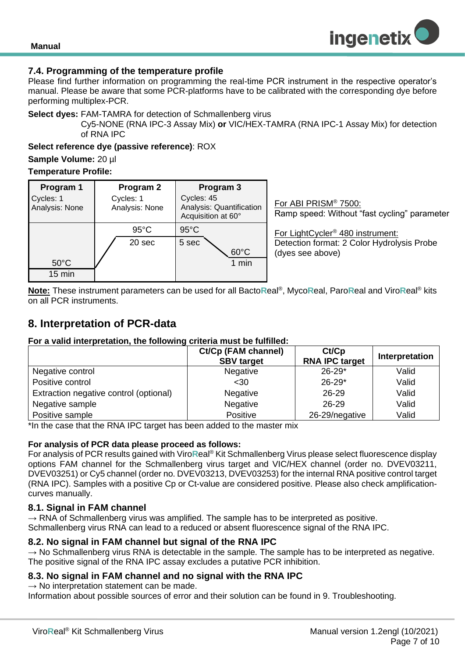

#### <span id="page-6-0"></span>**7.4. Programming of the temperature profile**

Please find further information on programming the real-time PCR instrument in the respective operator's manual. Please be aware that some PCR-platforms have to be calibrated with the corresponding dye before performing multiplex-PCR.

**Select dyes:** FAM-TAMRA for detection of Schmallenberg virus

Cy5-NONE (RNA IPC-3 Assay Mix) **or** VIC/HEX-TAMRA (RNA IPC-1 Assay Mix) for detection of RNA IPC

#### **Select reference dye (passive reference)**: ROX

**Sample Volume:** 20 µl

#### **Temperature Profile:**

| Program 1<br>Cycles: 1<br>Analysis: None | Program 2<br>Cycles: 1<br>Analysis: None | Program 3<br>Cycles: 45<br>Analysis: Quantification<br>Acquisition at 60° | For ABI PRISM® 7500:<br>Ramp speed: Without "fast cycling" parameter                                           |
|------------------------------------------|------------------------------------------|---------------------------------------------------------------------------|----------------------------------------------------------------------------------------------------------------|
| $50^{\circ}$ C<br>$15 \text{ min}$       | $95^{\circ}$ C<br>20 sec                 | $95^{\circ}$ C<br>5 sec<br>$60^{\circ}$ C<br>$1$ min                      | For LightCycler <sup>®</sup> 480 instrument:<br>Detection format: 2 Color Hydrolysis Probe<br>(dyes see above) |

**Note:** These instrument parameters can be used for all Bacto**R**eal® , Myco**R**eal, Paro**R**eal and Viro**R**eal® kits on all PCR instruments.

### <span id="page-6-1"></span>**8. Interpretation of PCR-data**

#### **For a valid interpretation, the following criteria must be fulfilled:**

|                                        | Ct/Cp (FAM channel)<br><b>SBV target</b> | Ct/Cp<br><b>RNA IPC target</b> | Interpretation |
|----------------------------------------|------------------------------------------|--------------------------------|----------------|
| Negative control                       | Negative                                 | $26 - 29*$                     | Valid          |
| Positive control                       | $30$                                     | $26 - 29*$                     | Valid          |
| Extraction negative control (optional) | Negative                                 | $26 - 29$                      | Valid          |
| Negative sample                        | Negative                                 | $26 - 29$                      | Valid          |
| Positive sample                        | <b>Positive</b>                          | 26-29/negative                 | Valid          |

\*In the case that the RNA IPC target has been added to the master mix

#### **For analysis of PCR data please proceed as follows:**

For analysis of PCR results gained with Viro**R**eal® Kit Schmallenberg Virus please select fluorescence display options FAM channel for the Schmallenberg virus target and VIC/HEX channel (order no. DVEV03211, DVEV03251) or Cy5 channel (order no. DVEV03213, DVEV03253) for the internal RNA positive control target (RNA IPC). Samples with a positive Cp or Ct-value are considered positive. Please also check amplificationcurves manually.

#### <span id="page-6-2"></span>**8.1. Signal in FAM channel**

 $\rightarrow$  RNA of Schmallenberg virus was amplified. The sample has to be interpreted as positive. Schmallenberg virus RNA can lead to a reduced or absent fluorescence signal of the RNA IPC.

#### <span id="page-6-3"></span>**8.2. No signal in FAM channel but signal of the RNA IPC**

 $\rightarrow$  No Schmallenberg virus RNA is detectable in the sample. The sample has to be interpreted as negative. The positive signal of the RNA IPC assay excludes a putative PCR inhibition.

#### <span id="page-6-4"></span>**8.3. No signal in FAM channel and no signal with the RNA IPC**

 $\rightarrow$  No interpretation statement can be made.

Information about possible sources of error and their solution can be found in 9. Troubleshooting.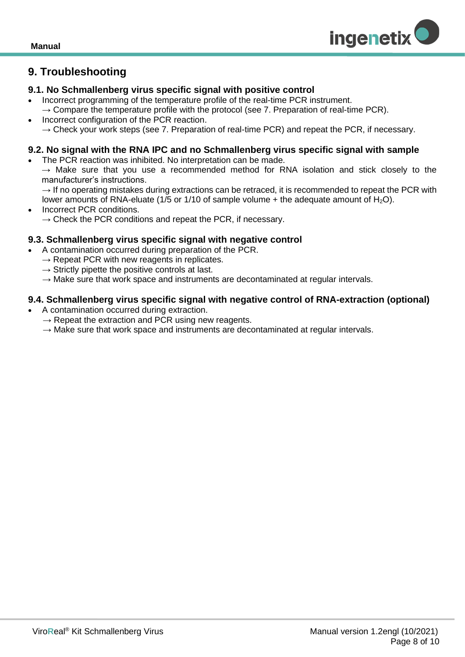

## <span id="page-7-0"></span>**9. Troubleshooting**

#### <span id="page-7-1"></span>**9.1. No Schmallenberg virus specific signal with positive control**

- Incorrect programming of the temperature profile of the real-time PCR instrument.
- $\rightarrow$  Compare the temperature profile with the protocol (see 7. Preparation of real-time PCR).
- Incorrect configuration of the PCR reaction.
- $\rightarrow$  Check your work steps (see 7. Preparation of real-time PCR) and repeat the PCR, if necessary.

#### <span id="page-7-2"></span>**9.2. No signal with the RNA IPC and no Schmallenberg virus specific signal with sample**

- The PCR reaction was inhibited. No interpretation can be made.
	- $\rightarrow$  Make sure that you use a recommended method for RNA isolation and stick closely to the manufacturer's instructions.
- $\rightarrow$  If no operating mistakes during extractions can be retraced, it is recommended to repeat the PCR with lower amounts of RNA-eluate (1/5 or 1/10 of sample volume  $+$  the adequate amount of  $H_2O$ ).
- Incorrect PCR conditions.  $\rightarrow$  Check the PCR conditions and repeat the PCR, if necessary.

#### <span id="page-7-3"></span>**9.3. Schmallenberg virus specific signal with negative control**

- A contamination occurred during preparation of the PCR.
	- $\rightarrow$  Repeat PCR with new reagents in replicates.
	- $\rightarrow$  Strictly pipette the positive controls at last.
	- $\rightarrow$  Make sure that work space and instruments are decontaminated at regular intervals.

#### <span id="page-7-4"></span>**9.4. Schmallenberg virus specific signal with negative control of RNA-extraction (optional)**

- A contamination occurred during extraction.
	- $\rightarrow$  Repeat the extraction and PCR using new reagents.
	- $\rightarrow$  Make sure that work space and instruments are decontaminated at regular intervals.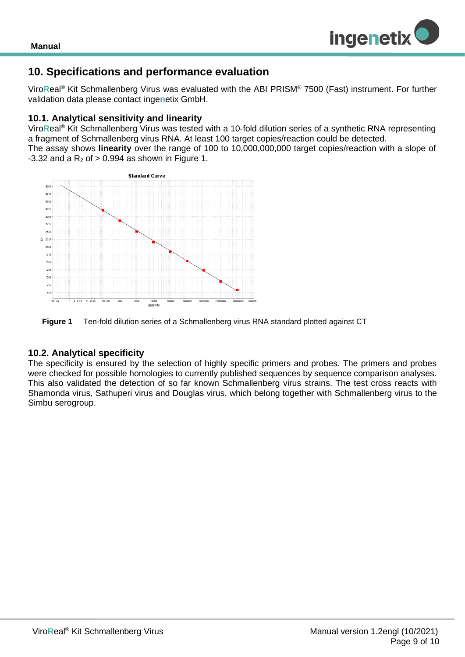

## <span id="page-8-0"></span>**10. Specifications and performance evaluation**

Viro**R**eal® Kit Schmallenberg Virus was evaluated with the ABI PRISM® 7500 (Fast) instrument. For further validation data please contact inge**n**etix GmbH.

#### <span id="page-8-1"></span>**10.1. Analytical sensitivity and linearity**

Viro**R**eal® Kit Schmallenberg Virus was tested with a 10-fold dilution series of a synthetic RNA representing a fragment of Schmallenberg virus RNA. At least 100 target copies/reaction could be detected. The assay shows **linearity** over the range of 100 to 10,000,000,000 target copies/reaction with a slope of  $-3.32$  and a R<sub>2</sub> of  $> 0.994$  as shown in Figure 1.





#### <span id="page-8-2"></span>**10.2. Analytical specificity**

The specificity is ensured by the selection of highly specific primers and probes. The primers and probes were checked for possible homologies to currently published sequences by sequence comparison analyses. This also validated the detection of so far known Schmallenberg virus strains. The test cross reacts with Shamonda virus*,* Sathuperi virus and Douglas virus, which belong together with Schmallenberg virus to the Simbu serogroup.